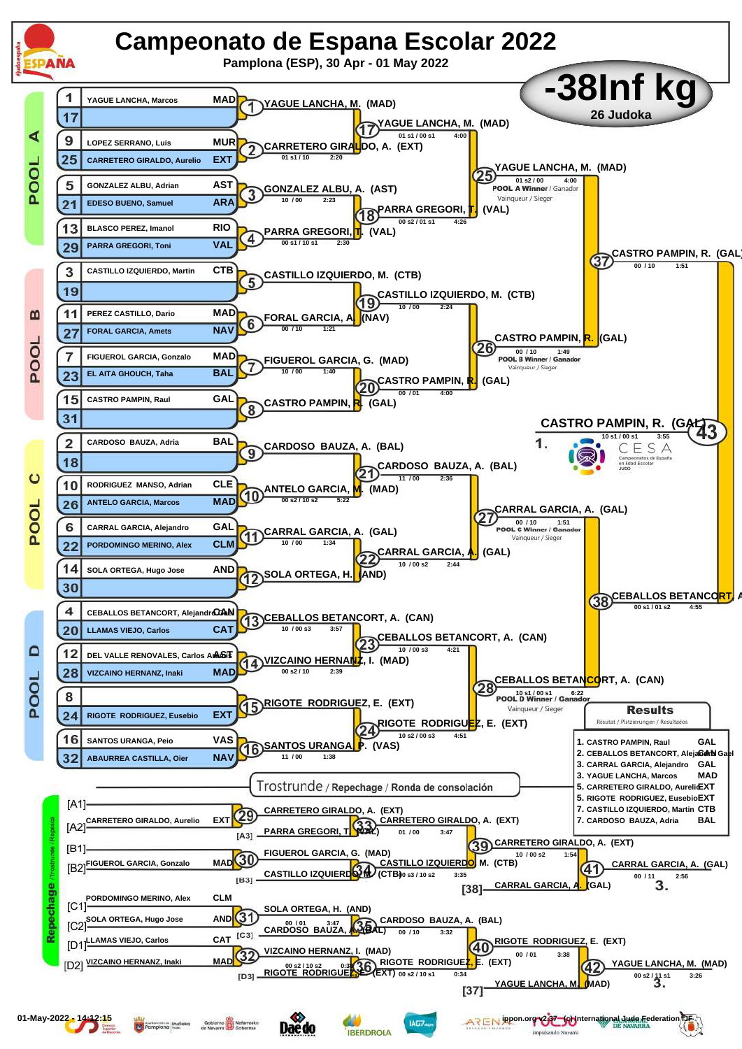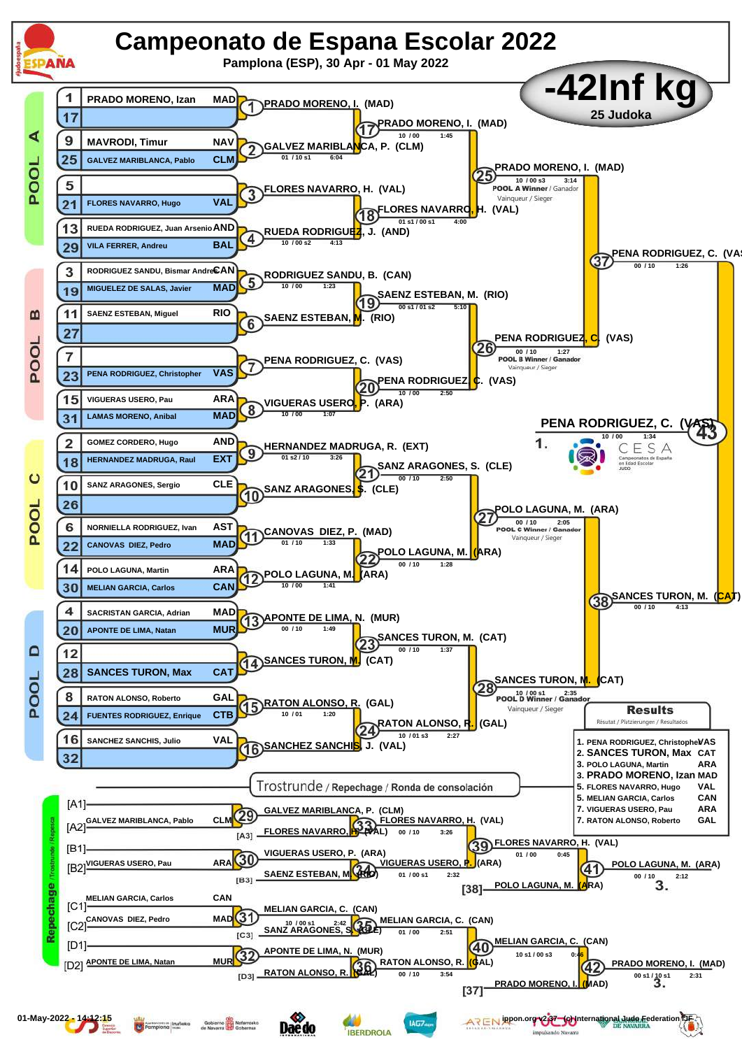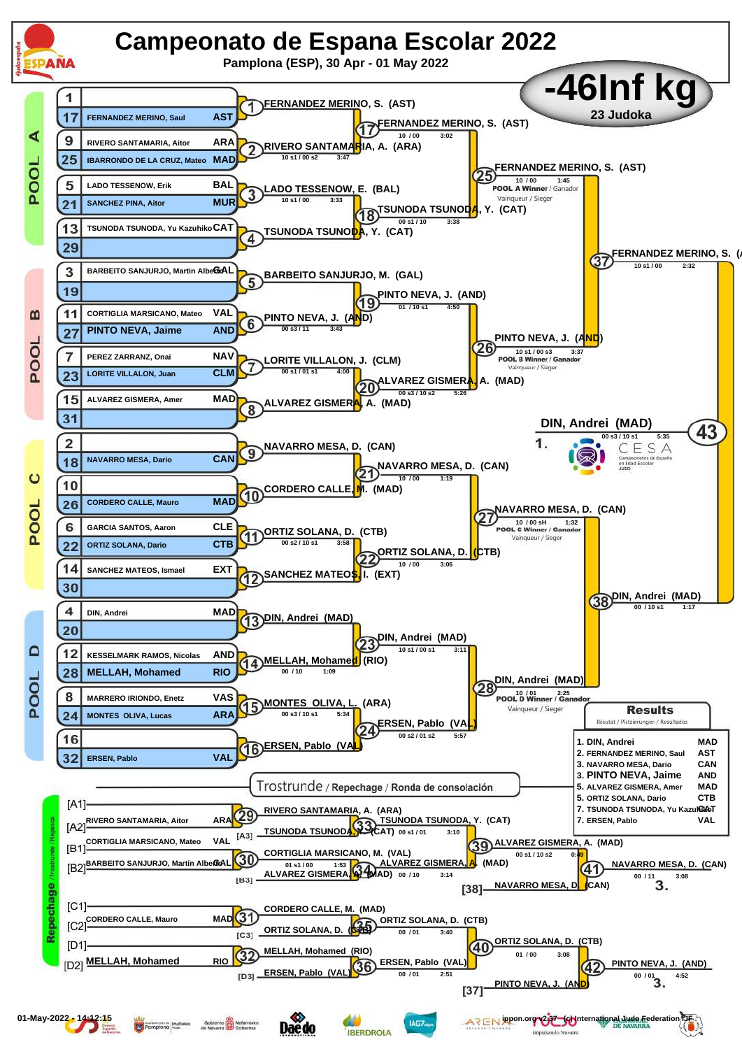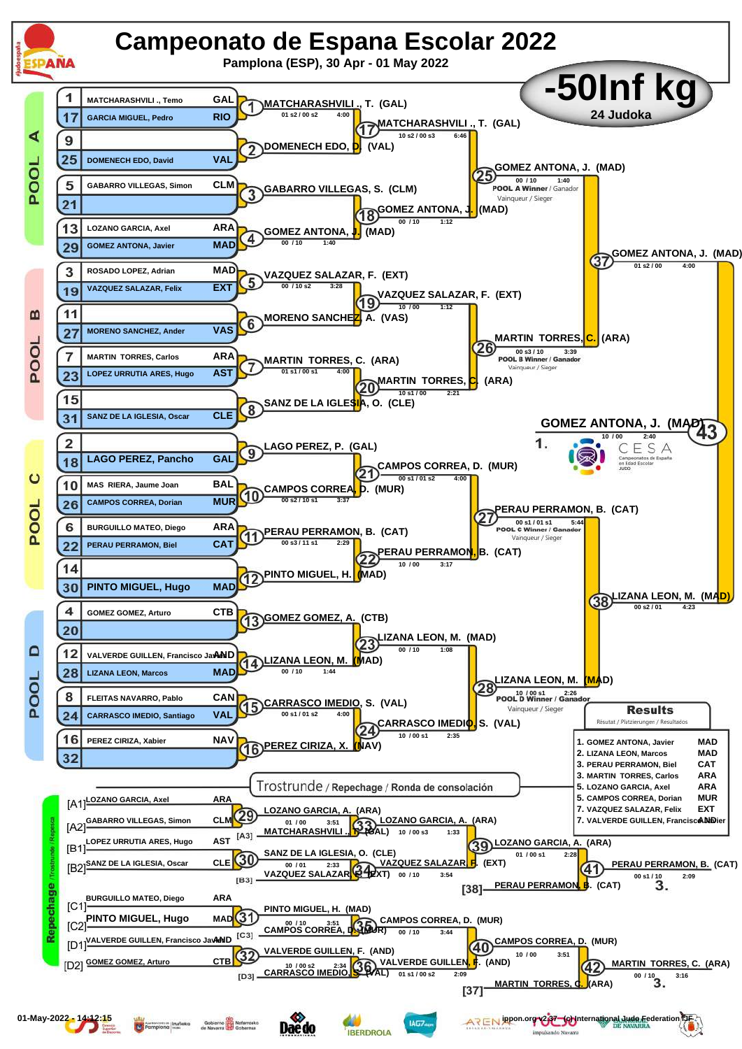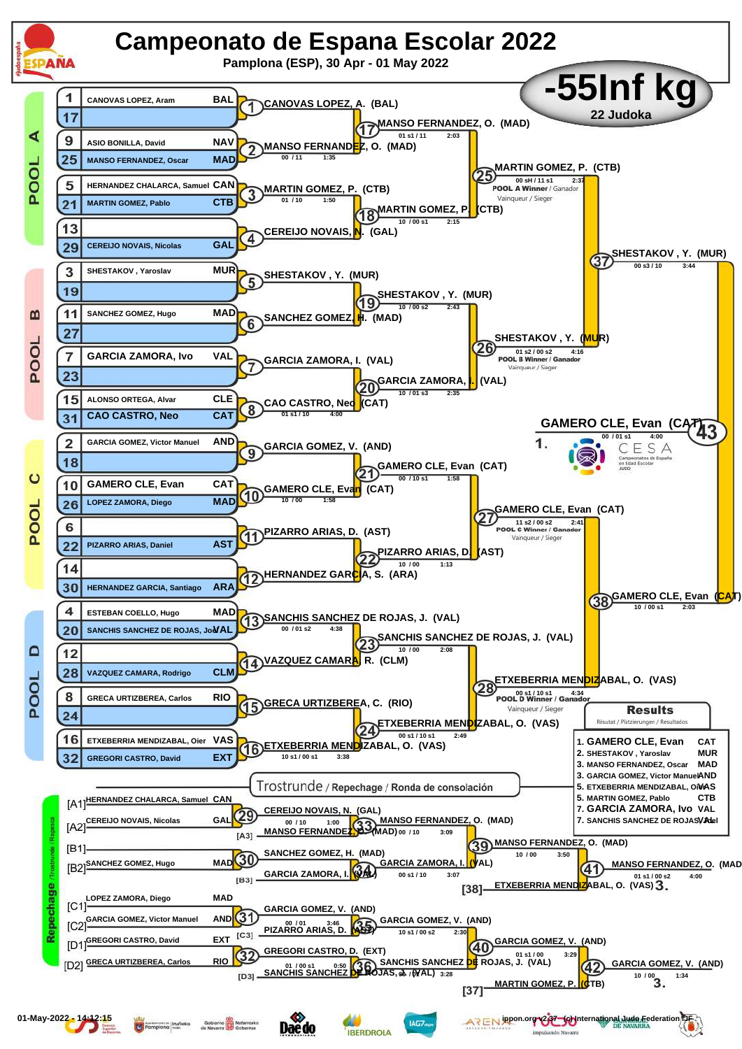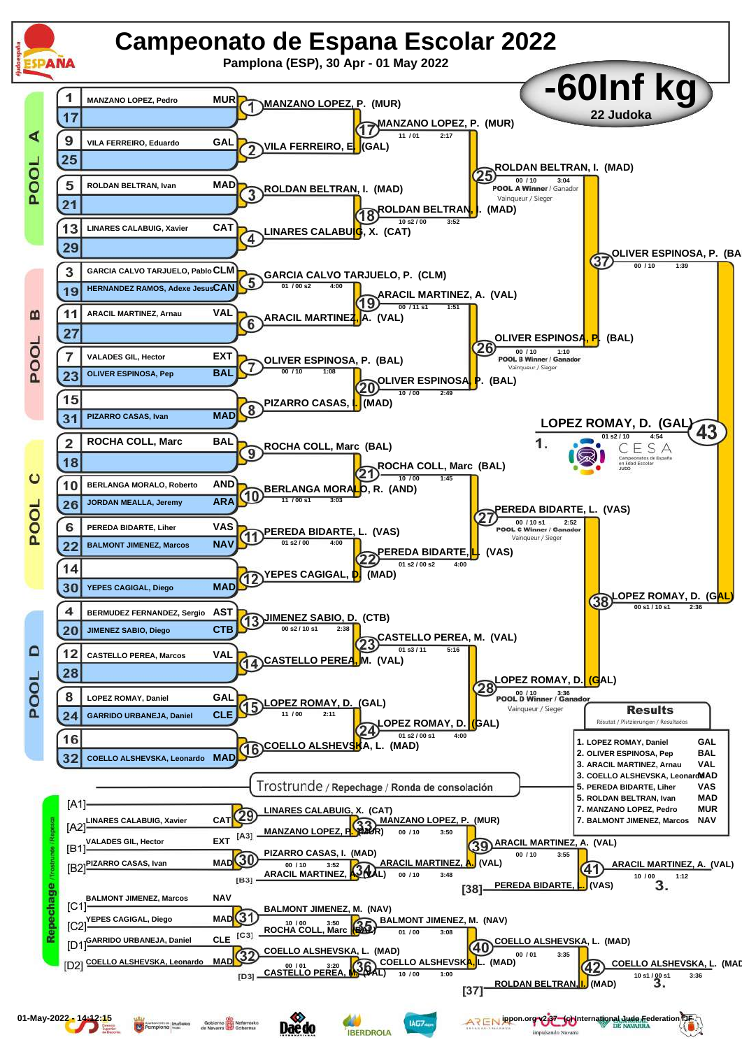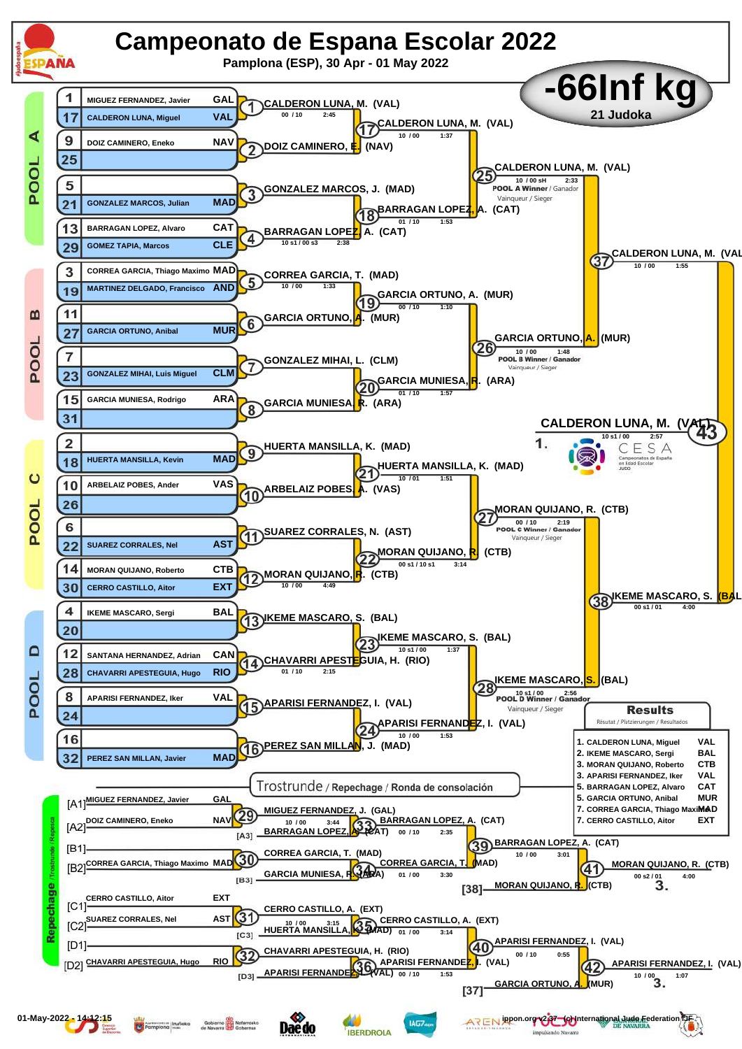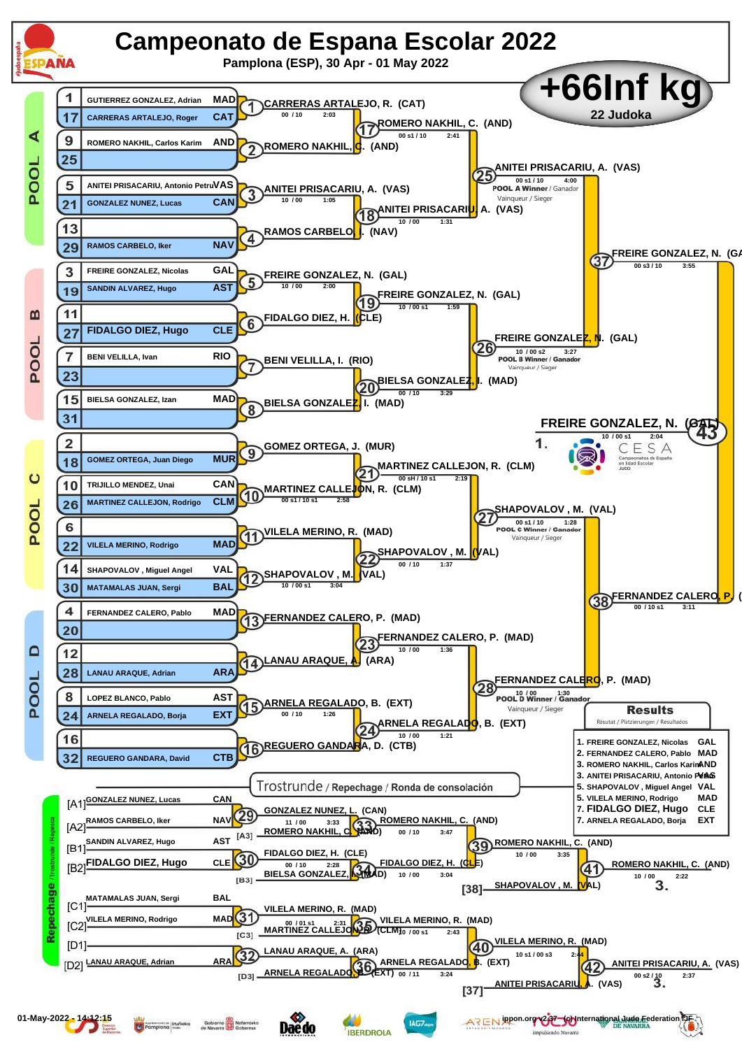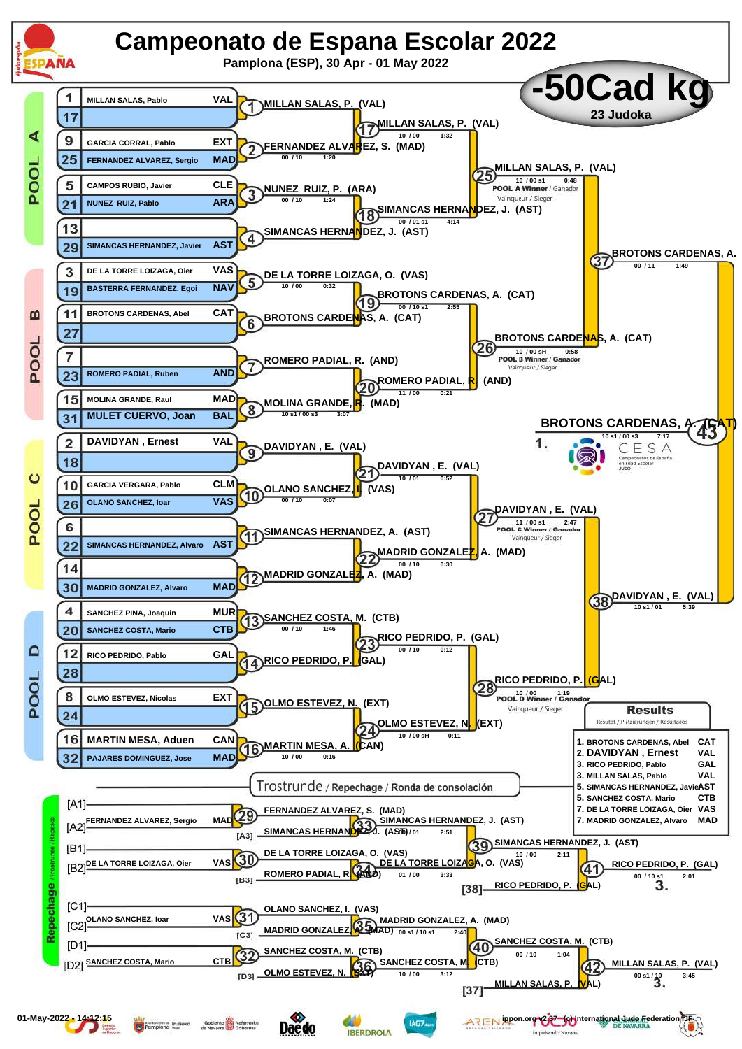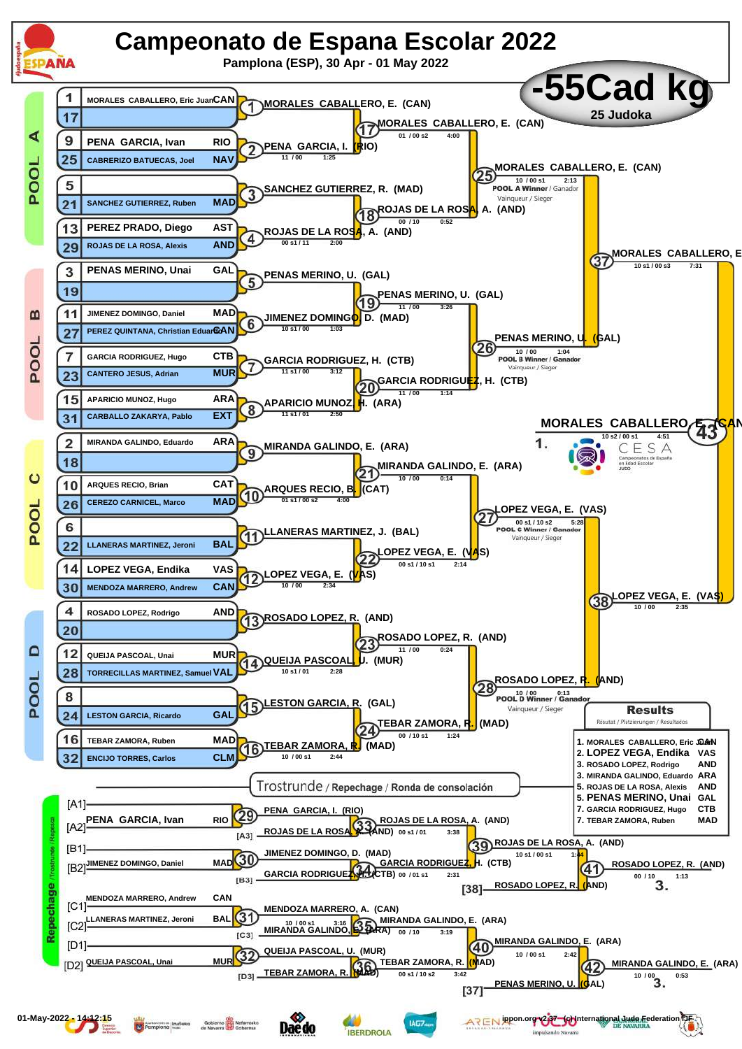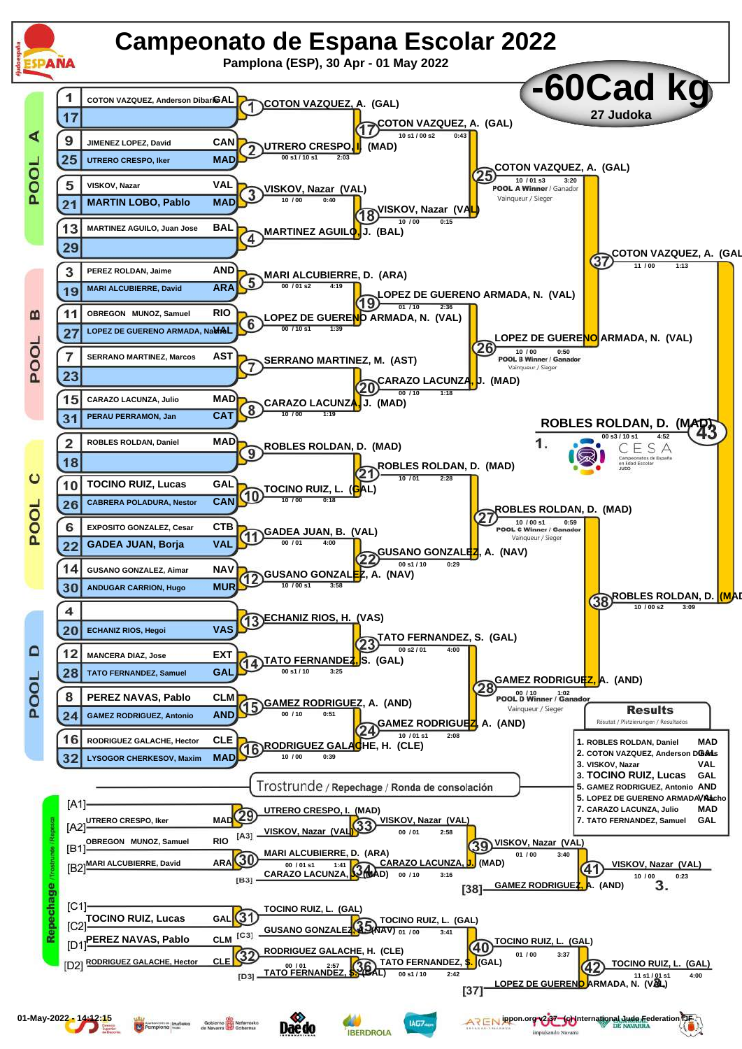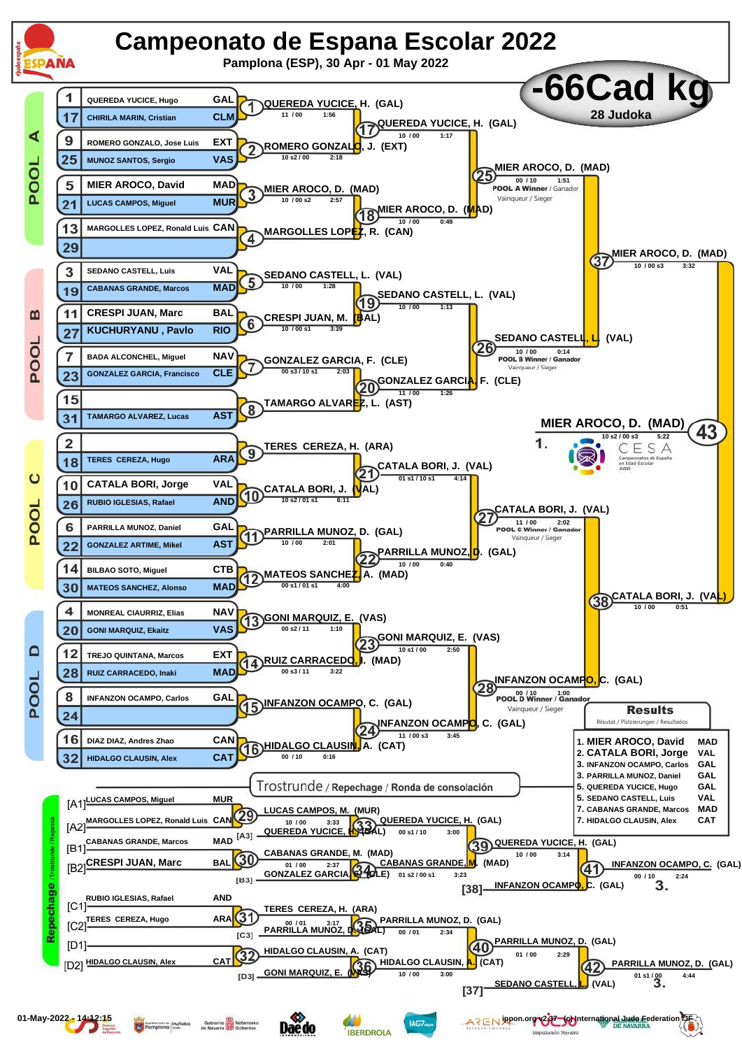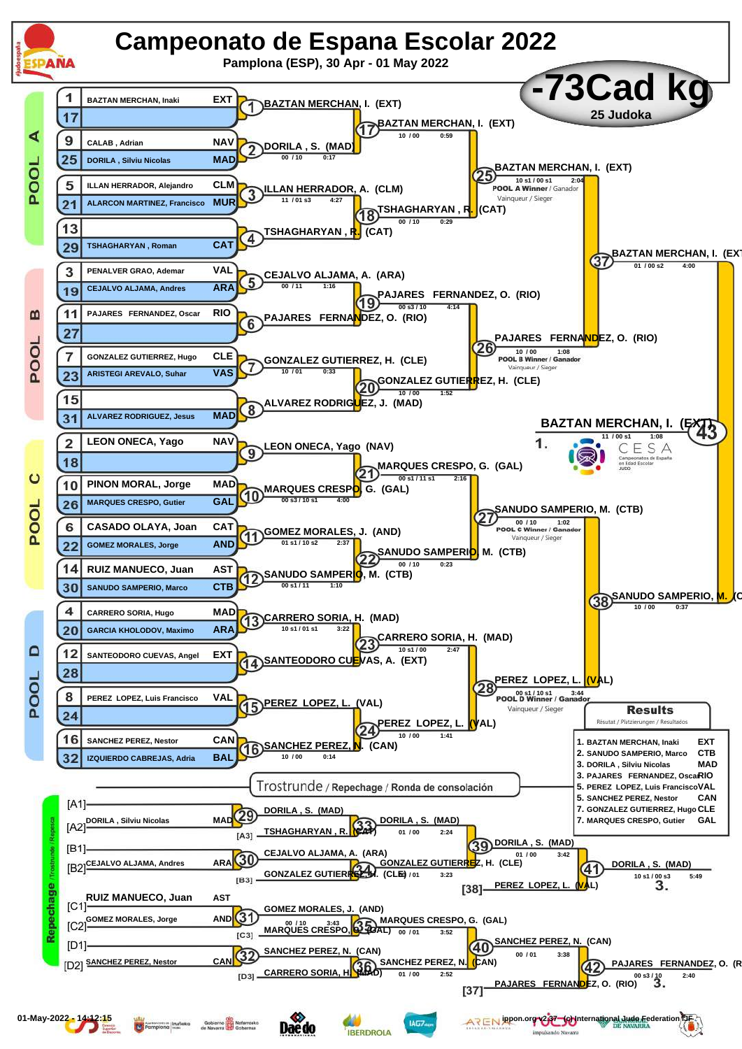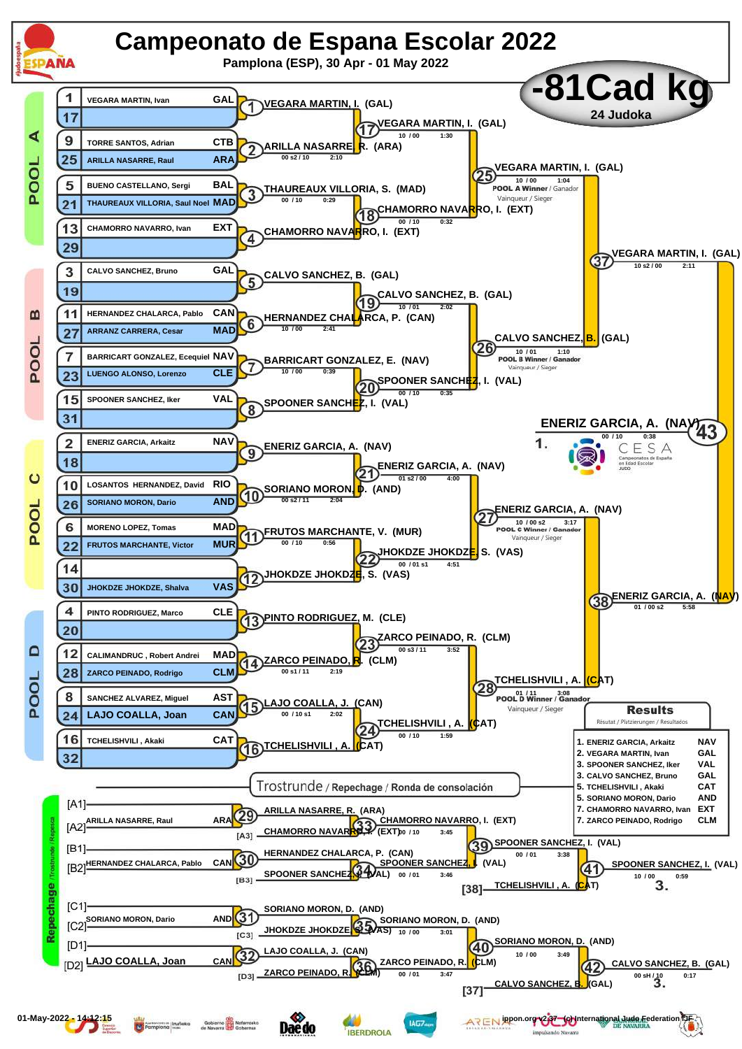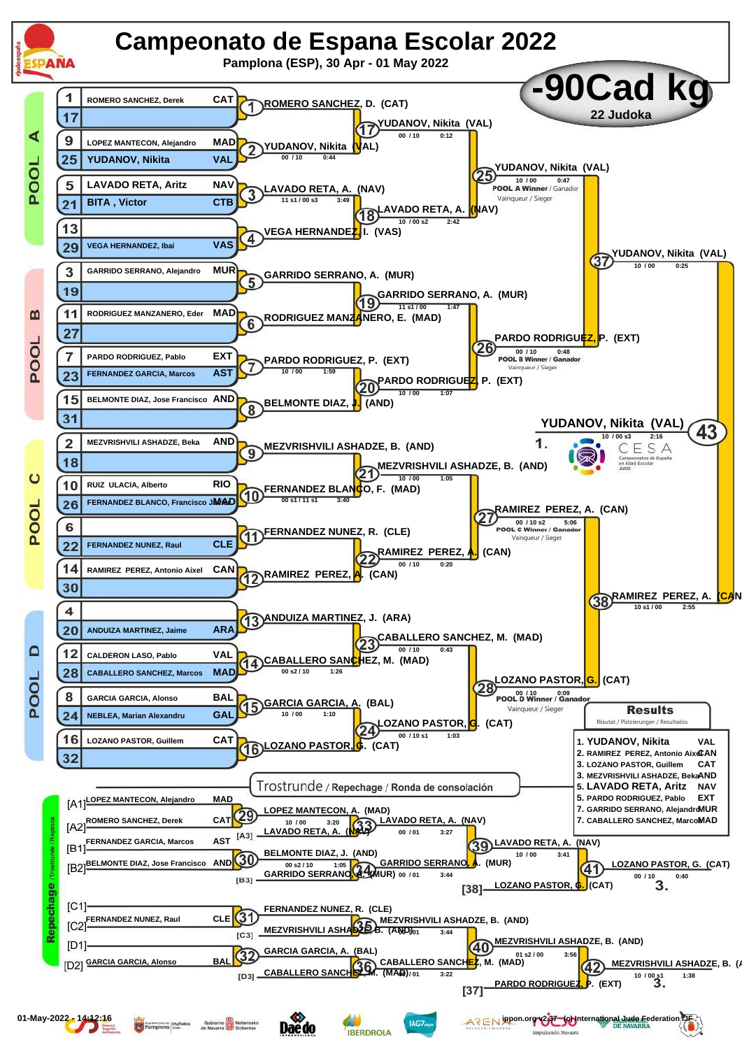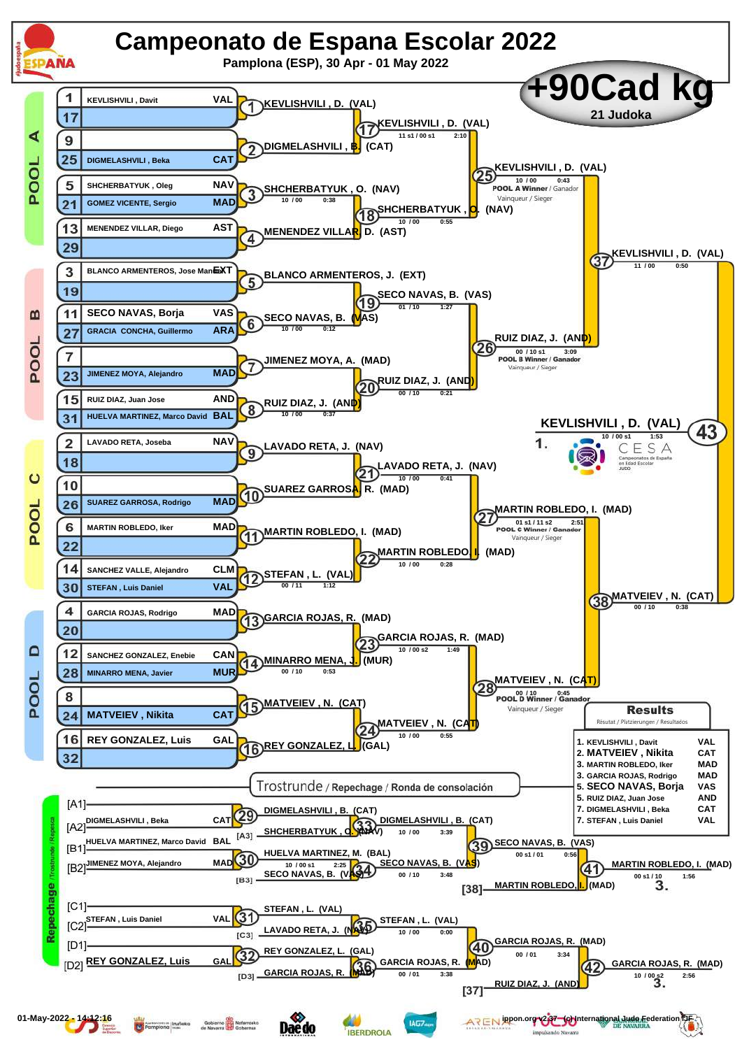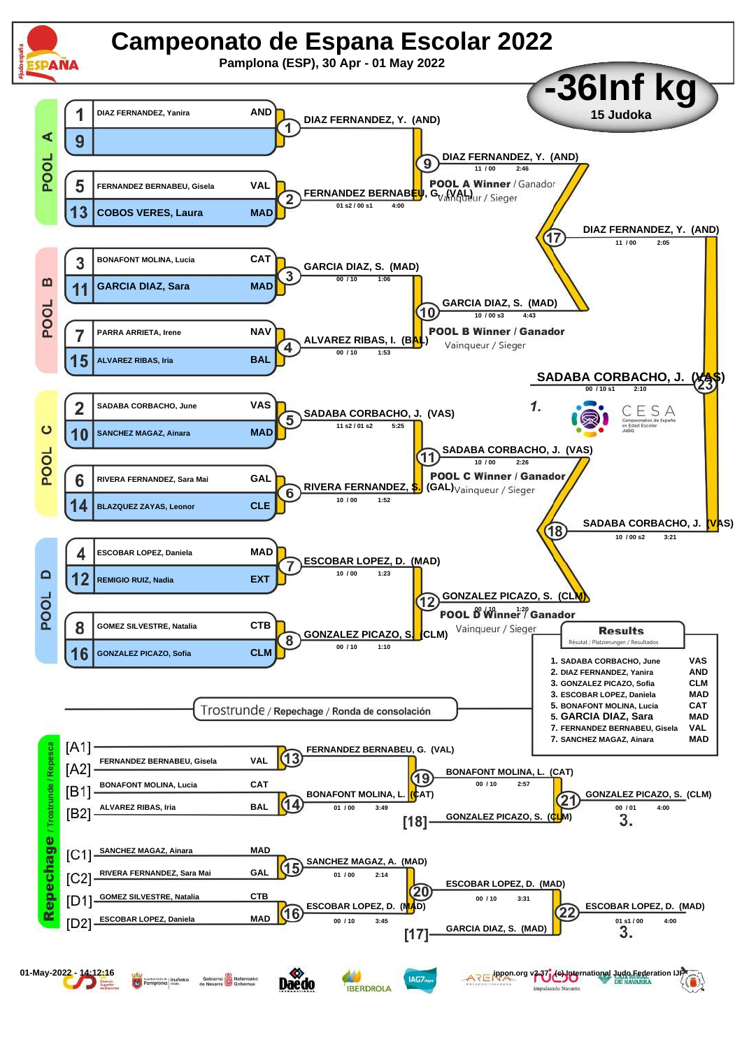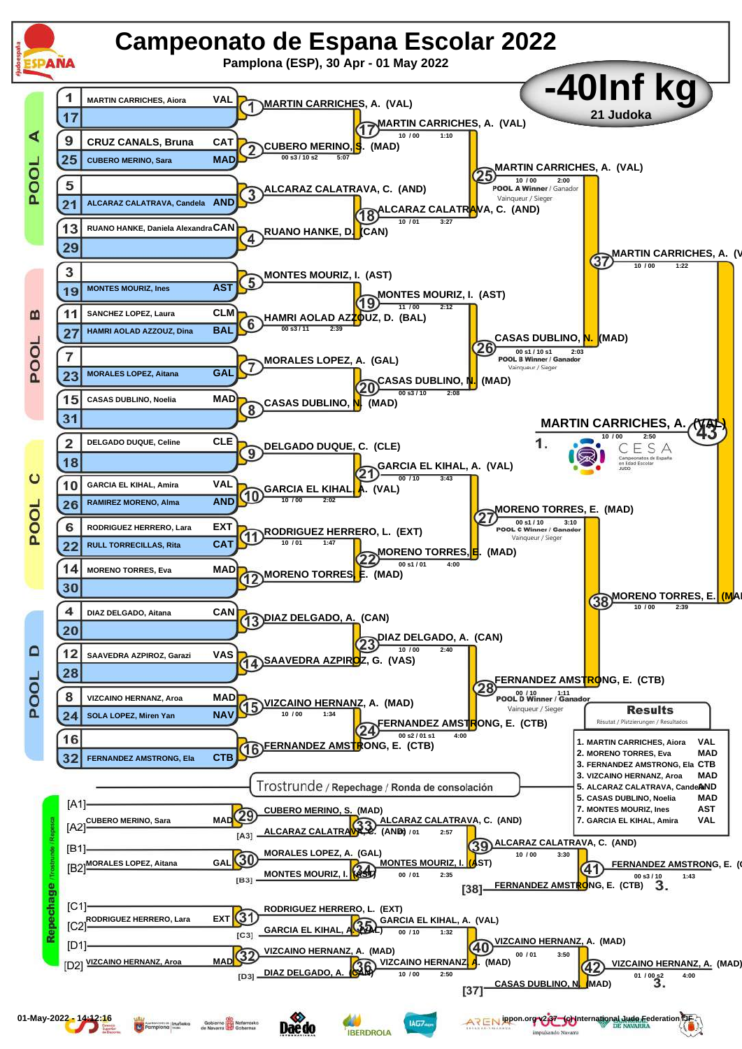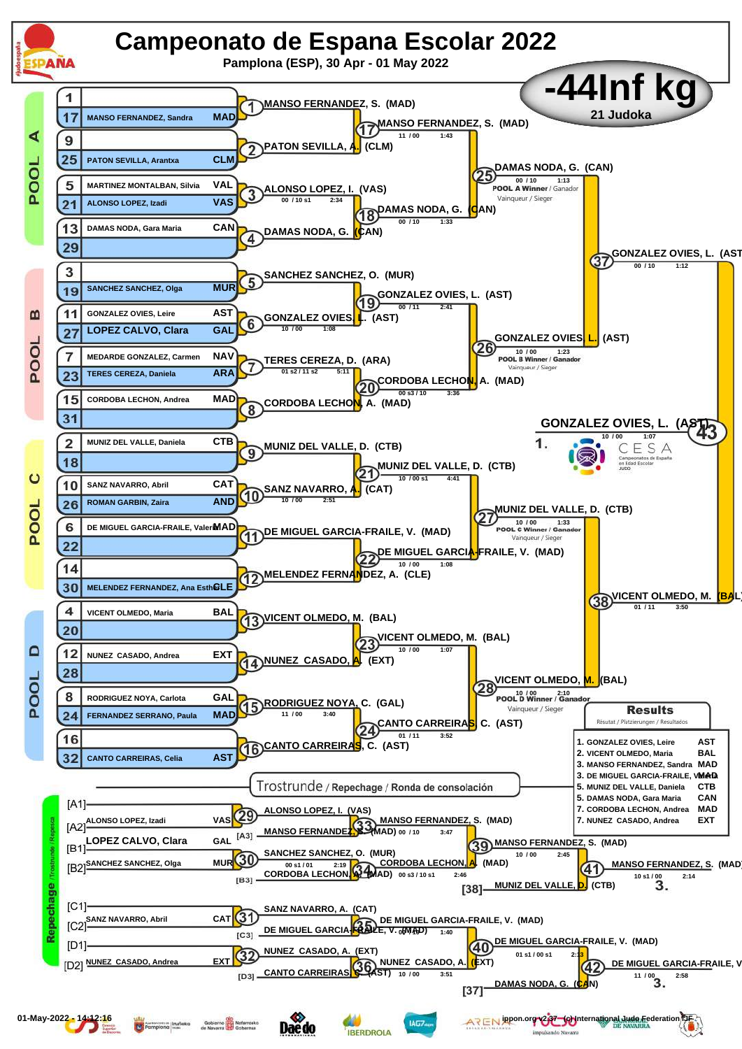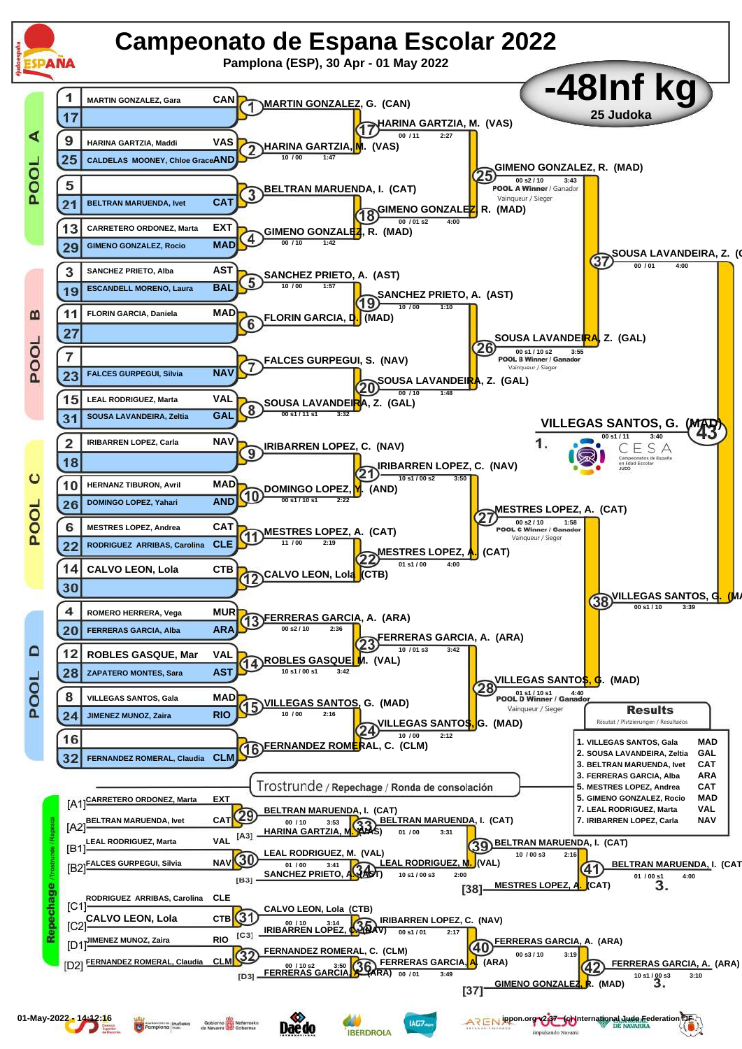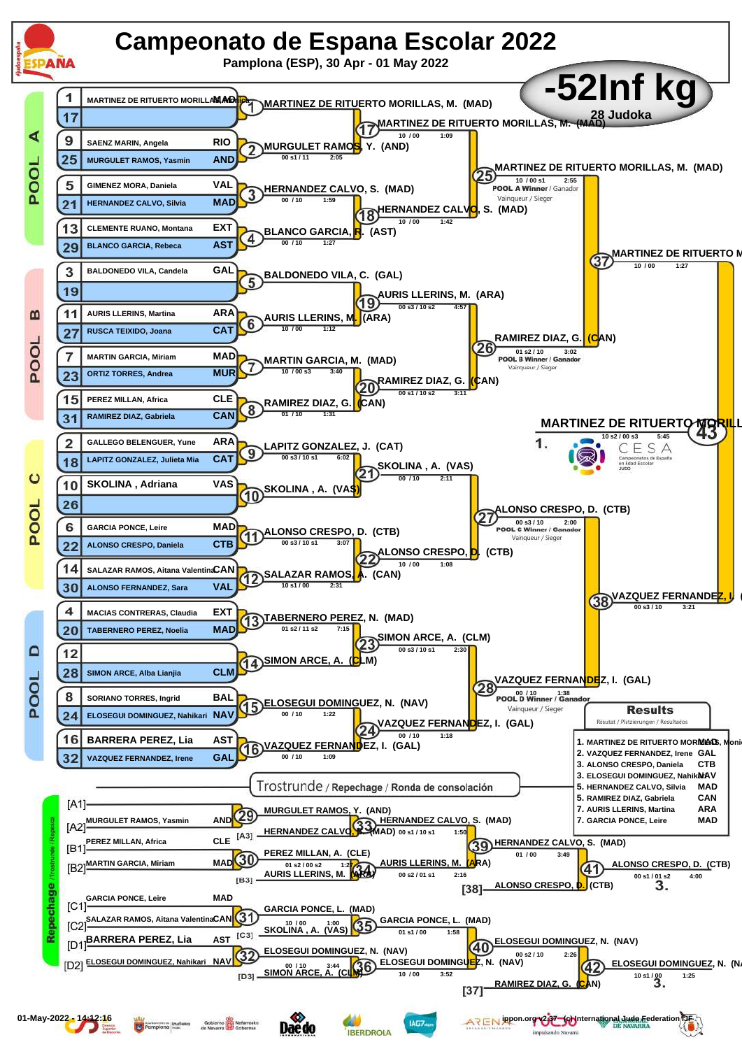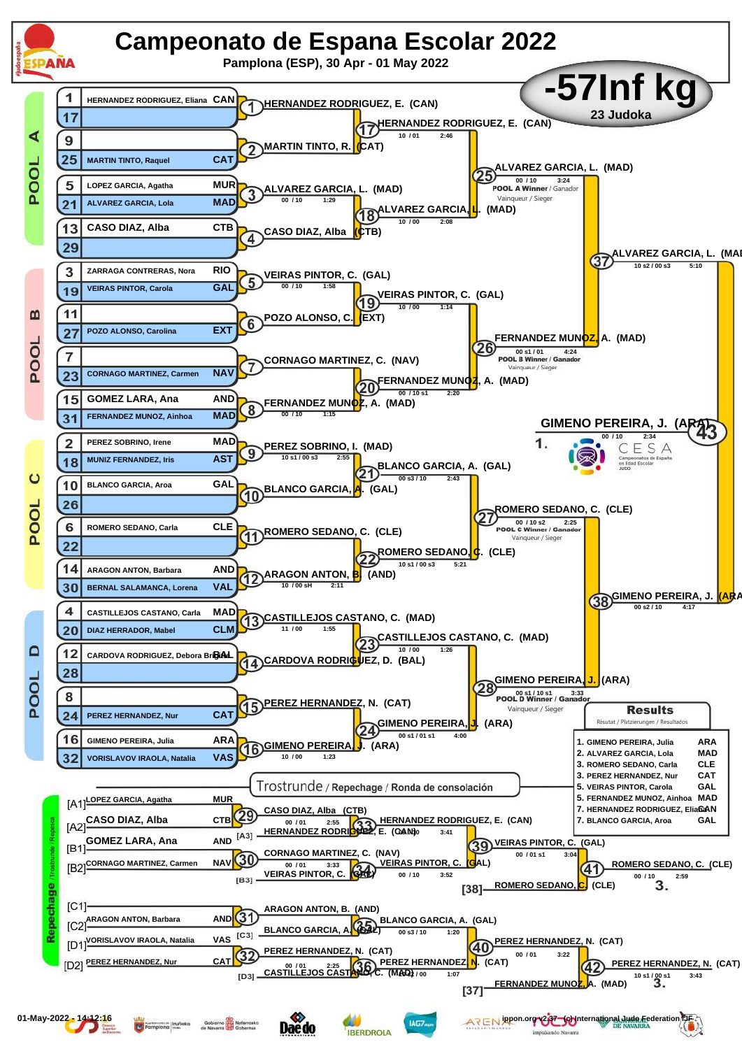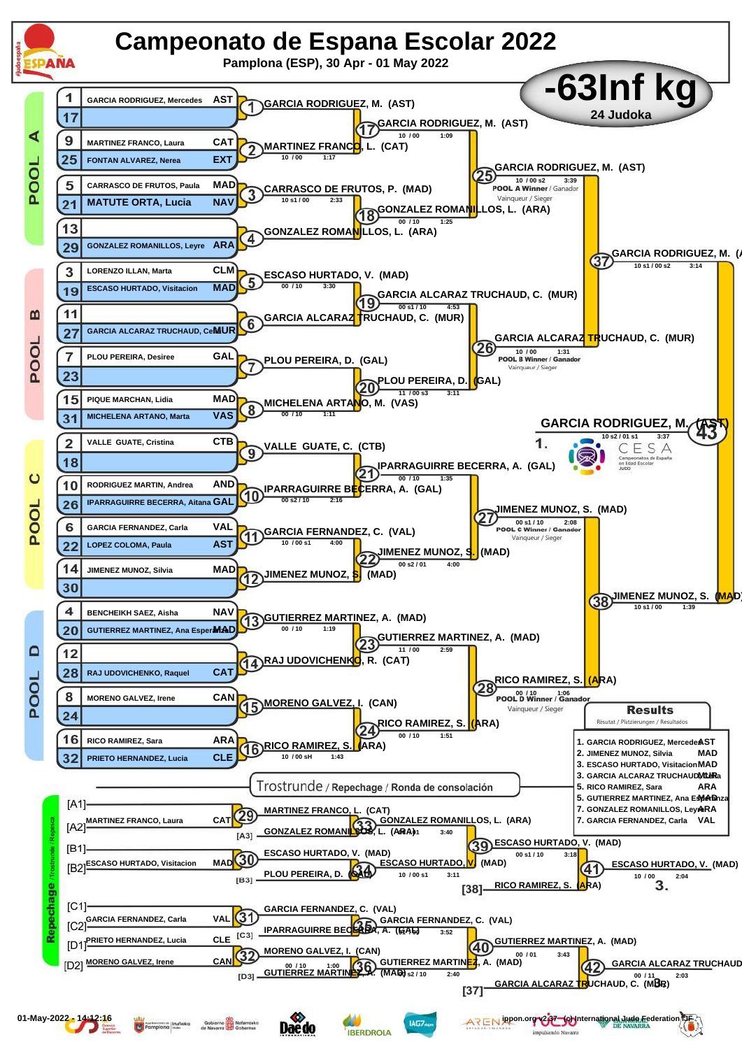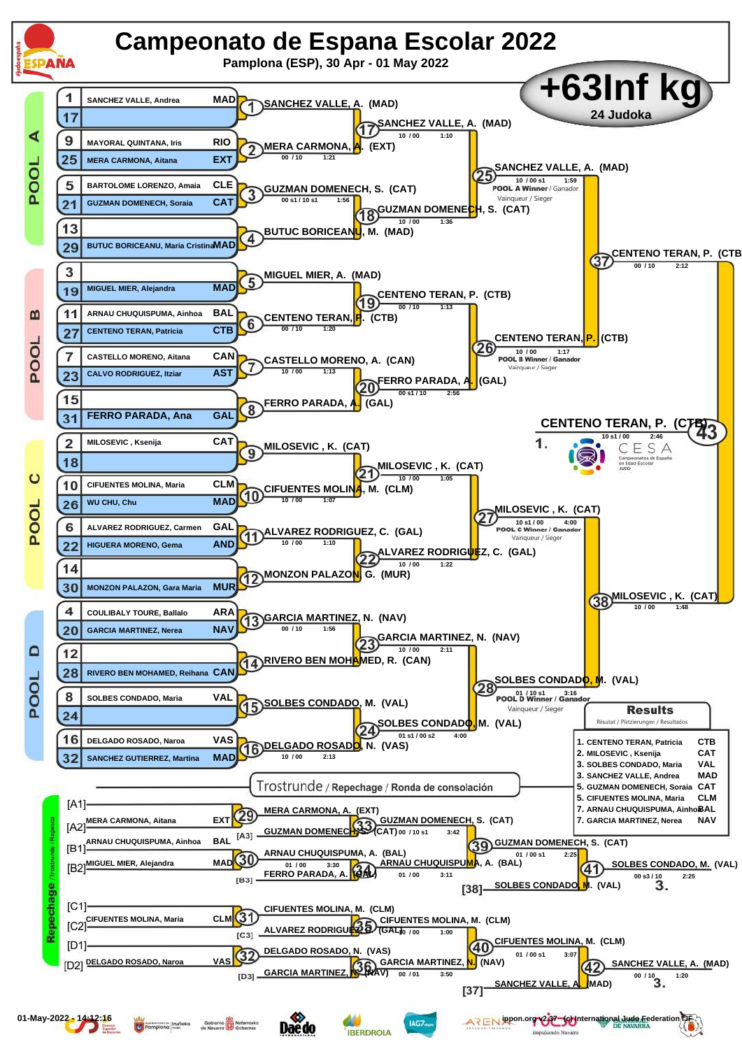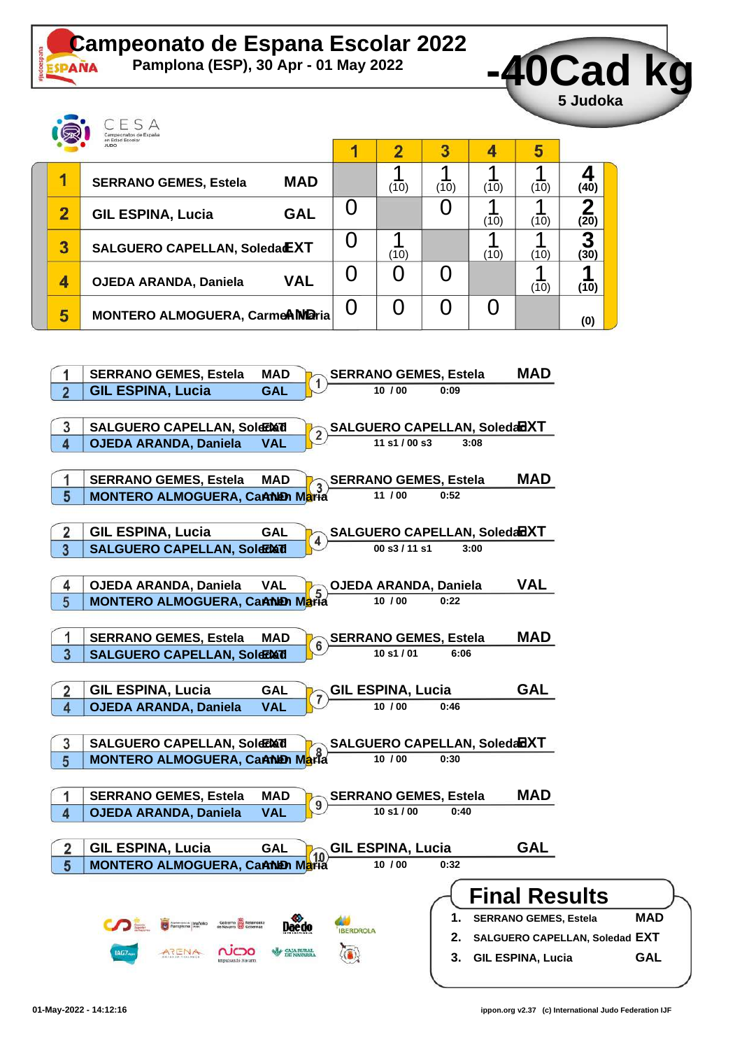## **Campeonato de Espana Escolar 2022**

Pamplona (ESP), 30 Apr - 01 May 2022 **-40Cad kc** 



**SPANA** 

|                                         |  | $\overline{\wedge}$ |  |  |  |
|-----------------------------------------|--|---------------------|--|--|--|
|                                         |  |                     |  |  |  |
| ampeonatos de Españ<br>a Felgel Franken |  |                     |  |  |  |

|                | Campeonatos de España<br>en Edad Escolar<br>OCUR |   |      | 3    |      | 5    |           |
|----------------|--------------------------------------------------|---|------|------|------|------|-----------|
|                | <b>MAD</b><br><b>SERRANO GEMES, Estela</b>       |   | (10) | (10) | (10) | (10) | (40)      |
| $\overline{2}$ | <b>GAL</b><br><b>GIL ESPINA, Lucia</b>           |   |      |      | (10) | (10) | ŋ<br>(20) |
| 3              | SALGUERO CAPELLAN, SoledaEXT                     |   | (10) |      | (10) | (10) | 3<br>(30) |
| 4              | <b>VAL</b><br><b>OJEDA ARANDA, Daniela</b>       |   |      |      |      | (10) | (10)      |
| 5              | MONTERO ALMOGUERA, CarmeAMDria                   | O |      |      |      |      | (0)       |



**5 Judoka**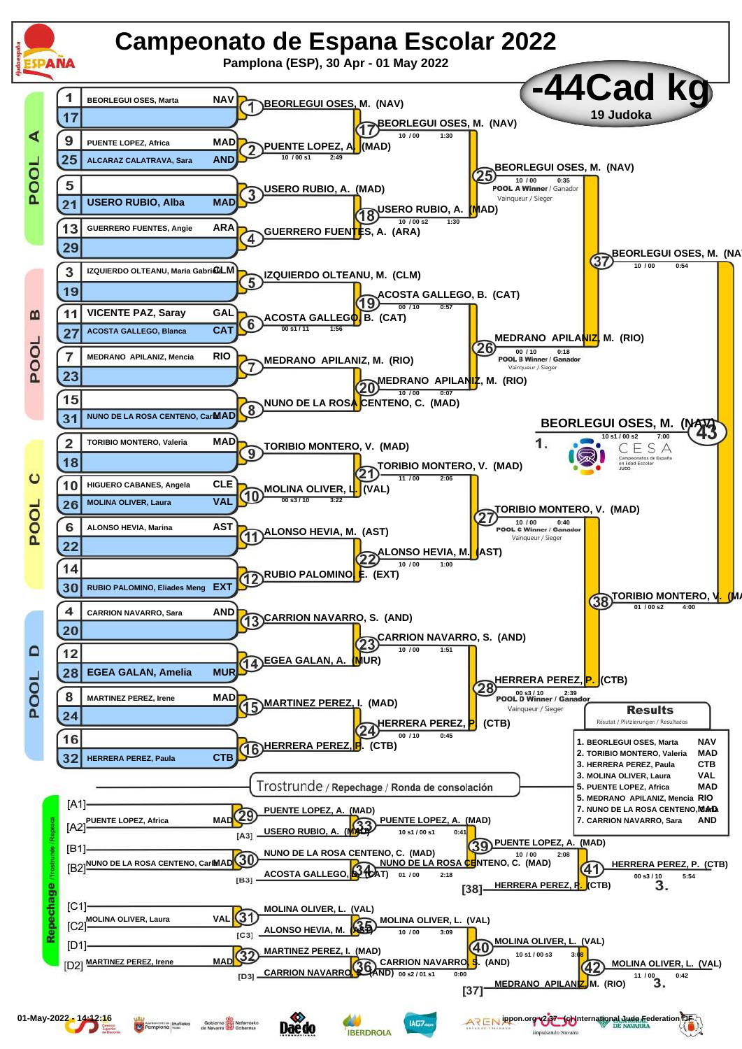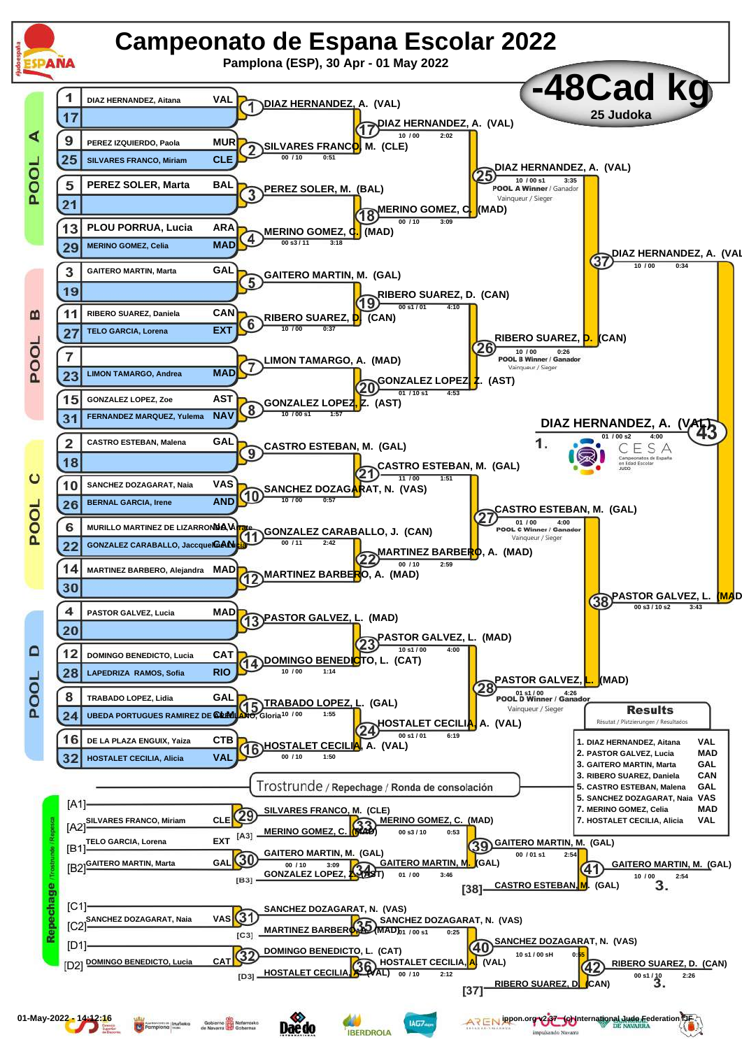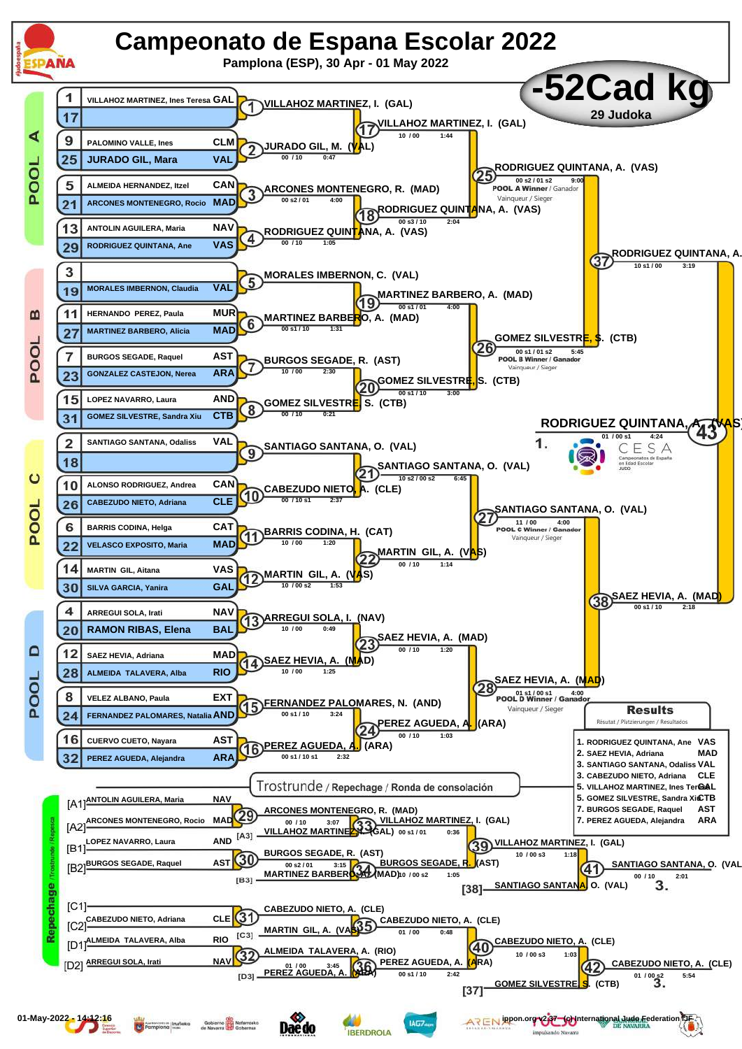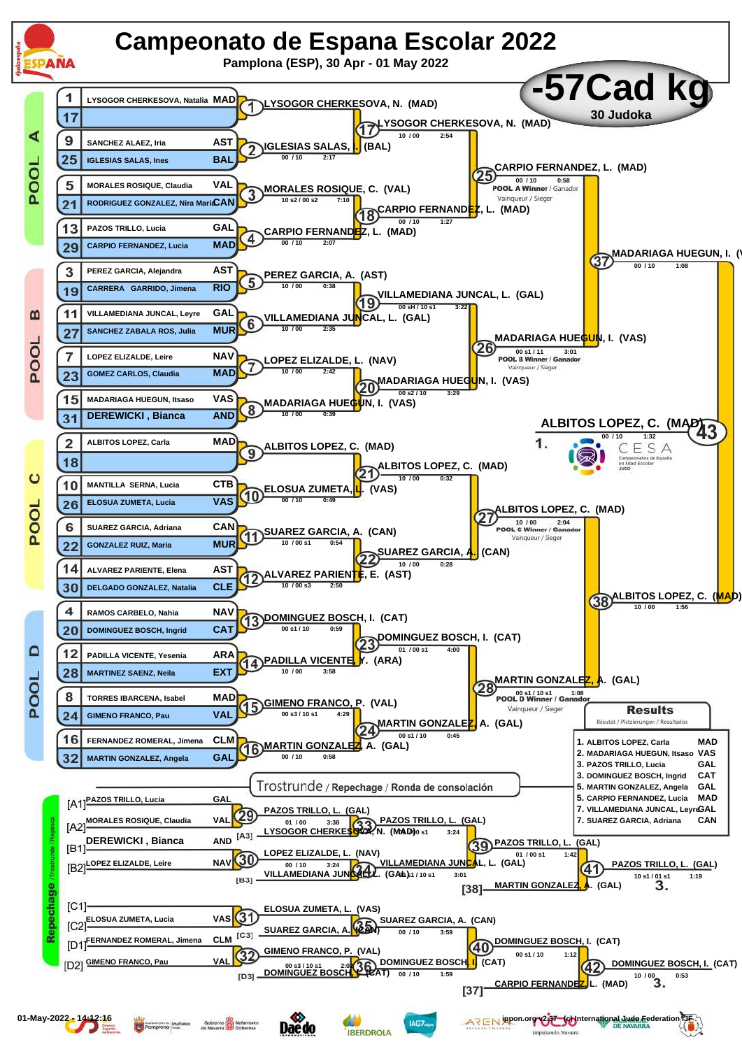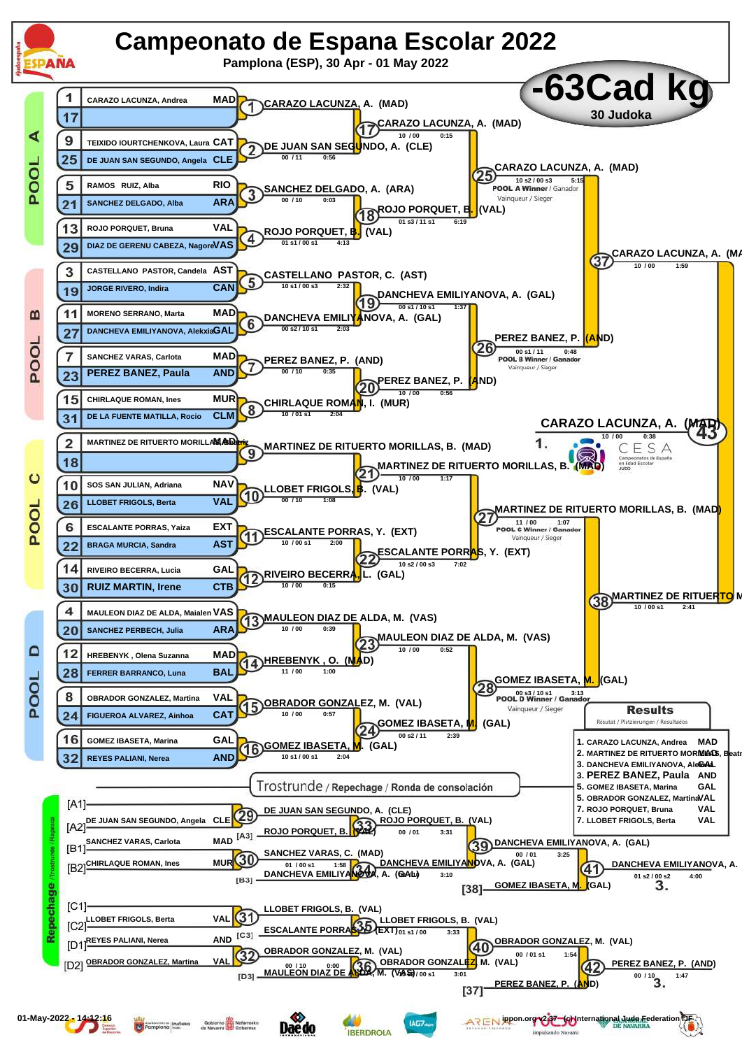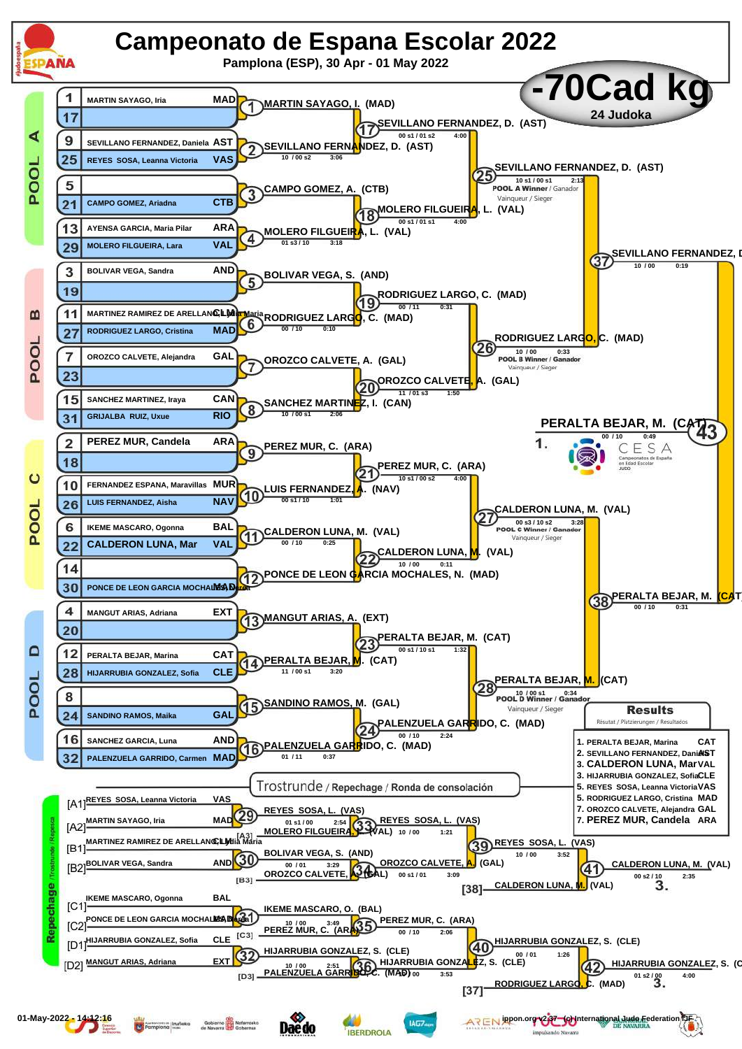